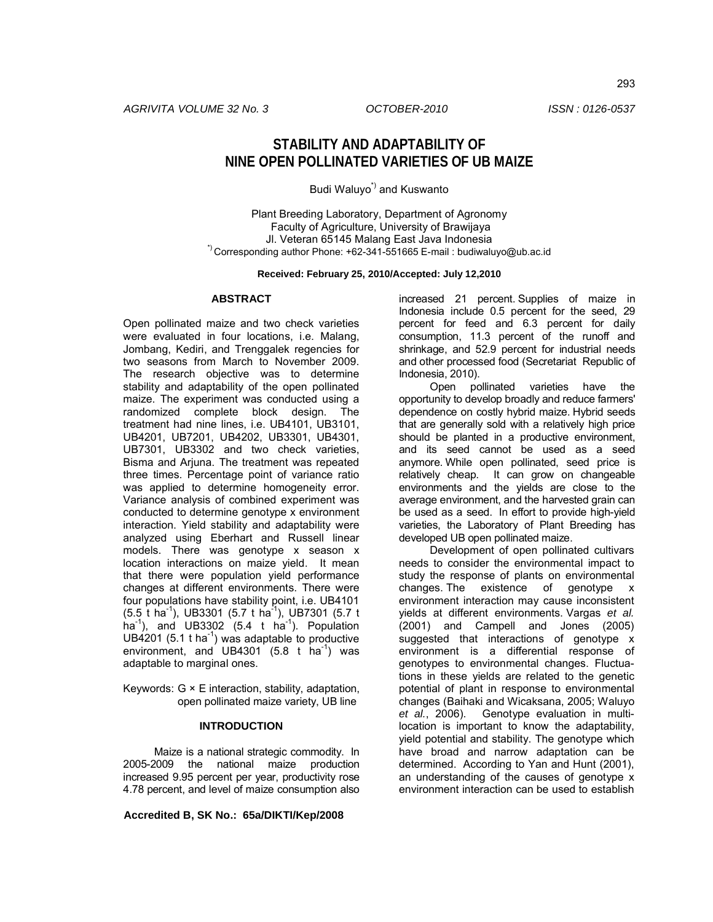# **STABILITY AND ADAPTABILITY OF NINE OPEN POLLINATED VARIETIES OF UB MAIZE**

Budi Waluyo<sup>\*</sup>) and Kuswanto

Plant Breeding Laboratory, Department of Agronomy Faculty of Agriculture, University of Brawijaya Jl. Veteran 65145 Malang East Java Indonesia \*) Corresponding author Phone: +62-341-551665 E-mail : budiwaluyo@ub.ac.id

#### **Received: February 25, 2010/Accepted: July 12,2010**

#### **ABSTRACT**

Open pollinated maize and two check varieties were evaluated in four locations, i.e. Malang, Jombang, Kediri, and Trenggalek regencies for two seasons from March to November 2009. The research objective was to determine stability and adaptability of the open pollinated maize. The experiment was conducted using a randomized complete block design. The treatment had nine lines, i.e. UB4101, UB3101, UB4201, UB7201, UB4202, UB3301, UB4301, UB7301, UB3302 and two check varieties, Bisma and Arjuna. The treatment was repeated three times. Percentage point of variance ratio was applied to determine homogeneity error. Variance analysis of combined experiment was conducted to determine genotype x environment interaction. Yield stability and adaptability were analyzed using Eberhart and Russell linear models. There was genotype x season x location interactions on maize yield. It mean that there were population yield performance changes at different environments. There were four populations have stability point, i.e. UB4101  $(5.5 \text{ t} \text{ ha}^{-1})$ , UB3301  $(5.7 \text{ t} \text{ ha}^{-1})$ , UB7301  $(5.7 \text{ t} \text{ he}^{-1})$ ha<sup>-1</sup>), and UB3302 (5.4 t ha<sup>-1</sup>). Population UB4201 (5.1 t ha<sup>-1</sup>) was adaptable to productive environment, and UB4301  $(5.8 \text{ t} \text{ ha}^{-1})$  was adaptable to marginal ones.

Keywords:  $G \times E$  interaction, stability, adaptation, open pollinated maize variety, UB line

# **INTRODUCTION**

Maize is a national strategic commodity. In 2005-2009 the national maize production increased 9.95 percent per year, productivity rose 4.78 percent, and level of maize consumption also

**Accredited B, SK No.: 65a/DIKTI/Kep/2008**

increased 21 percent. Supplies of maize in Indonesia include 0.5 percent for the seed, 29 percent for feed and 6.3 percent for daily consumption, 11.3 percent of the runoff and shrinkage, and 52.9 percent for industrial needs and other processed food (Secretariat Republic of Indonesia, 2010).

Open pollinated varieties have the opportunity to develop broadly and reduce farmers' dependence on costly hybrid maize. Hybrid seeds that are generally sold with a relatively high price should be planted in a productive environment, and its seed cannot be used as a seed anymore. While open pollinated, seed price is relatively cheap. It can grow on changeable environments and the yields are close to the average environment, and the harvested grain can be used as a seed. In effort to provide high-yield varieties, the Laboratory of Plant Breeding has developed UB open pollinated maize.

Development of open pollinated cultivars needs to consider the environmental impact to study the response of plants on environmental changes. The existence of genotype x environment interaction may cause inconsistent yields at different environments. Vargas *et al.* (2001) and Campell and Jones (2005) suggested that interactions of genotype x environment is a differential response of genotypes to environmental changes. Fluctuations in these yields are related to the genetic potential of plant in response to environmental changes (Baihaki and Wicaksana, 2005; Waluyo *et al.*, 2006). Genotype evaluation in multilocation is important to know the adaptability, yield potential and stability. The genotype which have broad and narrow adaptation can be determined. According to Yan and Hunt (2001), an understanding of the causes of genotype x environment interaction can be used to establish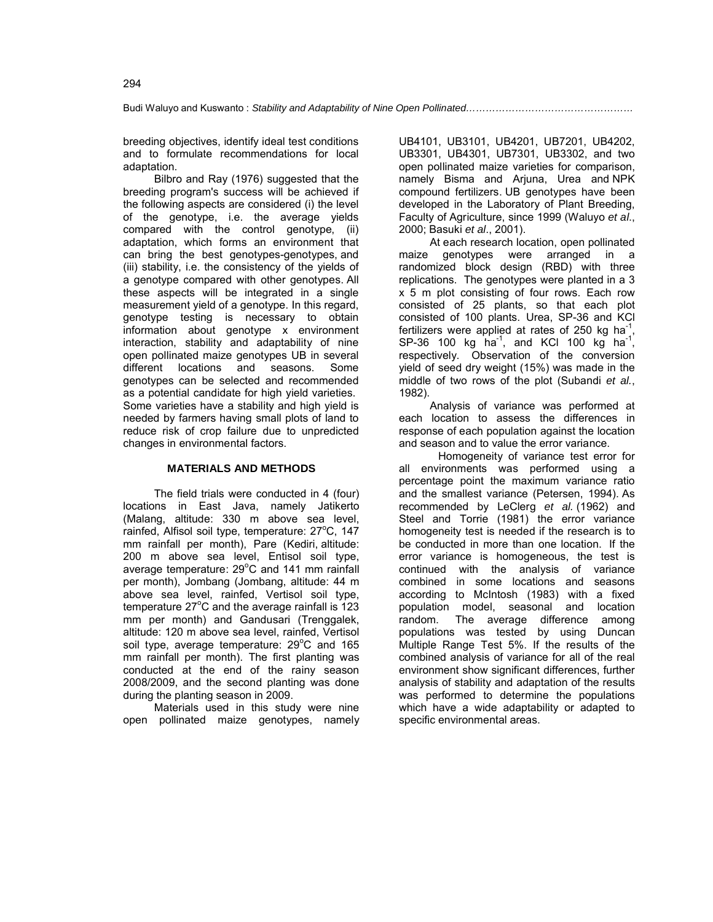breeding objectives, identify ideal test conditions and to formulate recommendations for local adaptation.

Bilbro and Ray (1976) suggested that the breeding program's success will be achieved if the following aspects are considered (i) the level of the genotype, i.e. the average yields compared with the control genotype, (ii) adaptation, which forms an environment that can bring the best genotypes-genotypes, and (iii) stability, i.e. the consistency of the yields of a genotype compared with other genotypes. All these aspects will be integrated in a single measurement yield of a genotype. In this regard, genotype testing is necessary to obtain information about genotype x environment interaction, stability and adaptability of nine open pollinated maize genotypes UB in several different locations and seasons. Some genotypes can be selected and recommended as a potential candidate for high yield varieties. Some varieties have a stability and high yield is needed by farmers having small plots of land to reduce risk of crop failure due to unpredicted changes in environmental factors.

# **MATERIALS AND METHODS**

The field trials were conducted in 4 (four) locations in East Java, namely Jatikerto (Malang, altitude: 330 m above sea level, rainfed, Alfisol soil type, temperature: 27°C, 147 mm rainfall per month), Pare (Kediri, altitude: 200 m above sea level, Entisol soil type, average temperature:  $29^{\circ}$ C and 141 mm rainfall per month), Jombang (Jombang, altitude: 44 m above sea level, rainfed, Vertisol soil type, temperature 27 $\mathrm{^{\circ}C}$  and the average rainfall is 123 mm per month) and Gandusari (Trenggalek, altitude: 120 m above sea level, rainfed, Vertisol soil type, average temperature:  $29^{\circ}$ C and 165 mm rainfall per month). The first planting was conducted at the end of the rainy season 2008/2009, and the second planting was done during the planting season in 2009.

Materials used in this study were nine open pollinated maize genotypes, namely UB4101, UB3101, UB4201, UB7201, UB4202, UB3301, UB4301, UB7301, UB3302, and two open pollinated maize varieties for comparison, namely Bisma and Arjuna, Urea and NPK compound fertilizers. UB genotypes have been developed in the Laboratory of Plant Breeding, Faculty of Agriculture, since 1999 (Waluyo *et al*., 2000; Basuki *et al*., 2001).

At each research location, open pollinated maize genotypes were arranged in a randomized block design (RBD) with three replications. The genotypes were planted in a 3 x 5 m plot consisting of four rows. Each row consisted of 25 plants, so that each plot consisted of 100 plants. Urea, SP-36 and KCl fertilizers were applied at rates of 250 kg ha<sup>-1</sup>,  $SP-36$  100 kg ha<sup>-1</sup>, and KCl 100 kg ha<sup>-1</sup>, respectively. Observation of the conversion yield of seed dry weight (15%) was made in the middle of two rows of the plot (Subandi *et al.*, 1982).

Analysis of variance was performed at each location to assess the differences in response of each population against the location and season and to value the error variance.

Homogeneity of variance test error for all environments was performed using a percentage point the maximum variance ratio and the smallest variance (Petersen, 1994). As recommended by LeClerg *et al.* (1962) and Steel and Torrie (1981) the error variance homogeneity test is needed if the research is to be conducted in more than one location. If the error variance is homogeneous, the test is continued with the analysis of variance combined in some locations and seasons according to McIntosh (1983) with a fixed population model, seasonal and location random. The average difference among populations was tested by using Duncan Multiple Range Test 5%. If the results of the combined analysis of variance for all of the real environment show significant differences, further analysis of stability and adaptation of the results was performed to determine the populations which have a wide adaptability or adapted to specific environmental areas.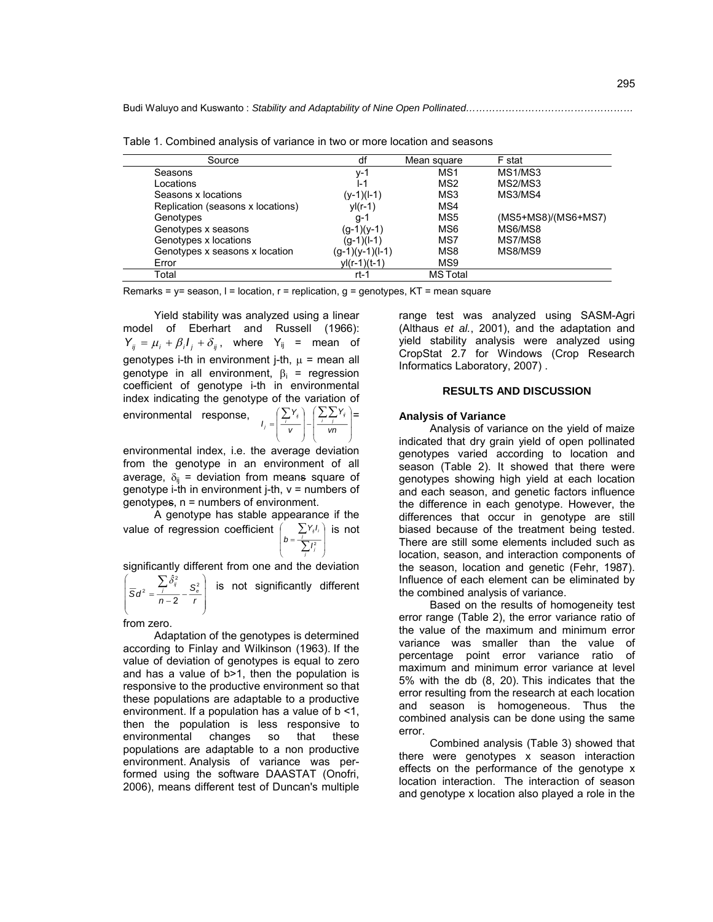| Source                            | df                | Mean square     | F stat              |
|-----------------------------------|-------------------|-----------------|---------------------|
| Seasons                           | v-1               | MS <sub>1</sub> | MS1/MS3             |
| Locations                         | l-1               | MS <sub>2</sub> | MS2/MS3             |
| Seasons x locations               | (y-1)(l-1)        | MS3             | MS3/MS4             |
| Replication (seasons x locations) | $yI(r-1)$         | MS4             |                     |
| Genotypes                         | g-1               | MS5             | (MS5+MS8)/(MS6+MS7) |
| Genotypes x seasons               | $(q-1)(y-1)$      | MS6             | MS6/MS8             |
| Genotypes x locations             | $(g-1)(l-1)$      | MS7             | MS7/MS8             |
| Genotypes x seasons x location    | $(g-1)(y-1)(l-1)$ | MS8             | MS8/MS9             |
| Error                             | $yl(r-1)(t-1)$    | MS9             |                     |
| Total                             | rt-1              | <b>MS</b> Total |                     |

Table 1. Combined analysis of variance in two or more location and seasons

Remarks =  $y=$  season,  $l =$  location,  $r =$  replication,  $q =$  genotypes, KT = mean square

Yield stability was analyzed using a linear model of Eberhart and Russell (1966):  $Y_{ij} = \mu_i + \beta_i I_j + \delta_{ij}$ , where  $Y_{ij}$  = mean of genotypes i-th in environment j-th,  $\mu$  = mean all genotype in all environment,  $\beta_i$  = regression coefficient of genotype i-th in environmental index indicating the genotype of the variation of

environmental response,

$$
I_j = \left(\frac{\sum_i Y_i}{v}\right) - \left(\frac{\sum_i \sum_j Y_i}{vn}\right) =
$$

environmental index, i.e. the average deviation from the genotype in an environment of all average,  $\delta_{ii}$  = deviation from means square of genotype i-th in environment j-th,  $v =$  numbers of genotypes, n = numbers of environment.

A genotype has stable appearance if the value of regression coefficient J Ι  $\overline{\phantom{a}}$ l ſ  $=\frac{1}{2}$ Σ *j j i j ij I Y I*  $b = \frac{1}{\sum t^2}$ is not

significantly different from one and the deviation

 J Ι  $\overline{\phantom{a}}$ l ſ  $=\frac{1}{n-2}$ Σ *r*  $\overline{S}d^2 = \frac{\sum_j \hat{\delta}^2_{ij}}{n-2} - \frac{S^2_{\theta}}{r}$  $n^2 = \frac{1}{n-2}$  $\left.\hat{\delta}_{ij}^{2}$   $\mathcal{S}_{s}^{2}\right|$  is not significantly different

from zero.

Adaptation of the genotypes is determined according to Finlay and Wilkinson (1963). If the value of deviation of genotypes is equal to zero and has a value of b>1, then the population is responsive to the productive environment so that these populations are adaptable to a productive environment. If a population has a value of b <1, then the population is less responsive to environmental changes so that these populations are adaptable to a non productive environment. Analysis of variance was performed using the software DAASTAT (Onofri, 2006), means different test of Duncan's multiple

range test was analyzed using SASM-Agri (Althaus *et al.*, 2001), and the adaptation and yield stability analysis were analyzed using CropStat 2.7 for Windows (Crop Research Informatics Laboratory, 2007) .

# **RESULTS AND DISCUSSION**

#### **Analysis of Variance**

Analysis of variance on the yield of maize indicated that dry grain yield of open pollinated genotypes varied according to location and season (Table 2). It showed that there were genotypes showing high yield at each location and each season, and genetic factors influence the difference in each genotype. However, the differences that occur in genotype are still biased because of the treatment being tested. There are still some elements included such as location, season, and interaction components of the season, location and genetic (Fehr, 1987). Influence of each element can be eliminated by the combined analysis of variance.

Based on the results of homogeneity test error range (Table 2), the error variance ratio of the value of the maximum and minimum error variance was smaller than the value of percentage point error variance ratio of maximum and minimum error variance at level 5% with the db (8, 20). This indicates that the error resulting from the research at each location and season is homogeneous. Thus the combined analysis can be done using the same error.

Combined analysis (Table 3) showed that there were genotypes x season interaction effects on the performance of the genotype x location interaction. The interaction of season and genotype x location also played a role in the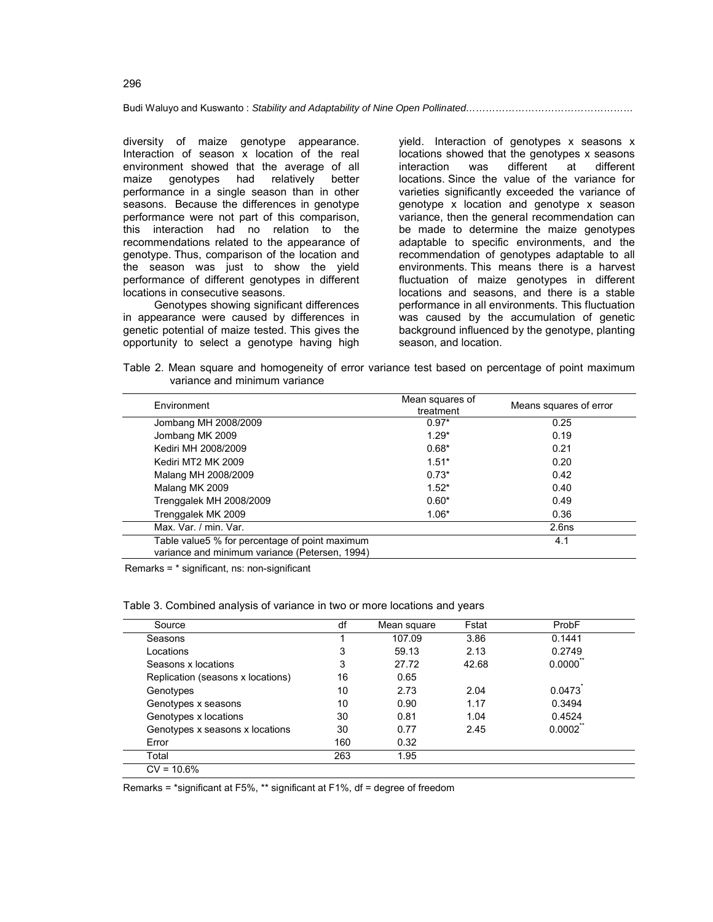diversity of maize genotype appearance. Interaction of season x location of the real environment showed that the average of all<br>maize genotypes had relatively better maize genotypes had relatively better performance in a single season than in other seasons. Because the differences in genotype performance were not part of this comparison, this interaction had no relation to the recommendations related to the appearance of genotype. Thus, comparison of the location and the season was just to show the yield performance of different genotypes in different locations in consecutive seasons.

Genotypes showing significant differences in appearance were caused by differences in genetic potential of maize tested. This gives the opportunity to select a genotype having high

yield. Interaction of genotypes x seasons x locations showed that the genotypes x seasons<br>interaction was different at different interaction was different at different locations. Since the value of the variance for varieties significantly exceeded the variance of genotype x location and genotype x season variance, then the general recommendation can be made to determine the maize genotypes adaptable to specific environments, and the recommendation of genotypes adaptable to all environments. This means there is a harvest fluctuation of maize genotypes in different locations and seasons, and there is a stable performance in all environments. This fluctuation was caused by the accumulation of genetic background influenced by the genotype, planting season, and location.

Table 2. Mean square and homogeneity of error variance test based on percentage of point maximum variance and minimum variance

| Environment                                                                                       | Mean squares of<br>treatment | Means squares of error |  |  |
|---------------------------------------------------------------------------------------------------|------------------------------|------------------------|--|--|
| Jombang MH 2008/2009                                                                              | $0.97*$                      | 0.25                   |  |  |
| Jombang MK 2009                                                                                   | $1.29*$                      | 0.19                   |  |  |
| Kediri MH 2008/2009                                                                               | $0.68*$                      | 0.21                   |  |  |
| Kediri MT2 MK 2009                                                                                | $1.51*$                      | 0.20                   |  |  |
| Malang MH 2008/2009                                                                               | $0.73*$                      | 0.42                   |  |  |
| Malang MK 2009                                                                                    | $1.52*$                      | 0.40                   |  |  |
| Trenggalek MH 2008/2009                                                                           | $0.60*$                      | 0.49                   |  |  |
| Trenggalek MK 2009                                                                                | $1.06*$                      | 0.36                   |  |  |
| Max. Var. / min. Var.                                                                             |                              | 2.6 <sub>ns</sub>      |  |  |
| Table value 5 % for percentage of point maximum<br>variance and minimum variance (Petersen, 1994) |                              | 4.1                    |  |  |

Remarks = \* significant, ns: non-significant

Table 3. Combined analysis of variance in two or more locations and years

| Source                            | df  | Mean square | Fstat | ProbF              |  |
|-----------------------------------|-----|-------------|-------|--------------------|--|
| Seasons                           |     | 107.09      | 3.86  | 0.1441             |  |
| Locations                         | 3   | 59.13       | 2.13  | 0.2749             |  |
| Seasons x locations               | 3   | 27.72       | 42.68 | $0.0000^{\degree}$ |  |
| Replication (seasons x locations) | 16  | 0.65        |       |                    |  |
| Genotypes                         | 10  | 2.73        | 2.04  | 0.0473             |  |
| Genotypes x seasons               | 10  | 0.90        | 1.17  | 0.3494             |  |
| Genotypes x locations             | 30  | 0.81        | 1.04  | 0.4524             |  |
| Genotypes x seasons x locations   | 30  | 0.77        | 2.45  | 0.0002             |  |
| Error                             | 160 | 0.32        |       |                    |  |
| Total                             | 263 | 1.95        |       |                    |  |
| $CV = 10.6%$                      |     |             |       |                    |  |

Remarks = \*significant at F5%, \*\* significant at F1%, df = degree of freedom

296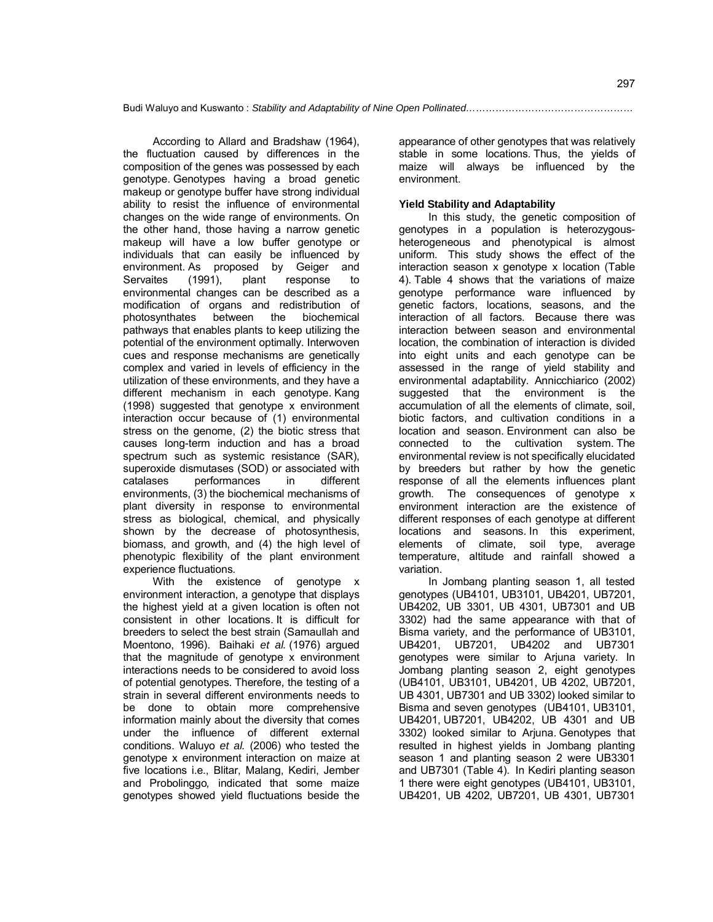According to Allard and Bradshaw (1964), the fluctuation caused by differences in the composition of the genes was possessed by each genotype. Genotypes having a broad genetic makeup or genotype buffer have strong individual ability to resist the influence of environmental changes on the wide range of environments. On the other hand, those having a narrow genetic makeup will have a low buffer genotype or individuals that can easily be influenced by environment. As proposed by Geiger and Servaites (1991), plant response to environmental changes can be described as a modification of organs and redistribution of photosynthates between the biochemical pathways that enables plants to keep utilizing the potential of the environment optimally. Interwoven cues and response mechanisms are genetically complex and varied in levels of efficiency in the utilization of these environments, and they have a different mechanism in each genotype. Kang (1998) suggested that genotype x environment interaction occur because of (1) environmental stress on the genome, (2) the biotic stress that causes long-term induction and has a broad spectrum such as systemic resistance (SAR), superoxide dismutases (SOD) or associated with catalases performances in different environments, (3) the biochemical mechanisms of plant diversity in response to environmental stress as biological, chemical, and physically shown by the decrease of photosynthesis, biomass, and growth, and (4) the high level of phenotypic flexibility of the plant environment experience fluctuations.

With the existence of genotype x environment interaction, a genotype that displays the highest yield at a given location is often not consistent in other locations. It is difficult for breeders to select the best strain (Samaullah and Moentono, 1996). Baihaki *et al.* (1976) argued that the magnitude of genotype x environment interactions needs to be considered to avoid loss of potential genotypes. Therefore, the testing of a strain in several different environments needs to be done to obtain more comprehensive information mainly about the diversity that comes under the influence of different external conditions. Waluyo *et al.* (2006) who tested the genotype x environment interaction on maize at five locations i.e., Blitar, Malang, Kediri, Jember and Probolinggo*,* indicated that some maize genotypes showed yield fluctuations beside the

appearance of other genotypes that was relatively stable in some locations. Thus, the yields of maize will always be influenced by the environment.

# **Yield Stability and Adaptability**

In this study, the genetic composition of genotypes in a population is heterozygousheterogeneous and phenotypical is almost uniform. This study shows the effect of the interaction season x genotype x location (Table 4). Table 4 shows that the variations of maize genotype performance ware influenced by genetic factors, locations, seasons, and the interaction of all factors. Because there was interaction between season and environmental location, the combination of interaction is divided into eight units and each genotype can be assessed in the range of yield stability and environmental adaptability. Annicchiarico (2002) suggested that the environment is the accumulation of all the elements of climate, soil, biotic factors, and cultivation conditions in a location and season. Environment can also be connected to the cultivation system. The environmental review is not specifically elucidated by breeders but rather by how the genetic response of all the elements influences plant growth. The consequences of genotype x environment interaction are the existence of different responses of each genotype at different locations and seasons. In this experiment, elements of climate, soil type, average temperature, altitude and rainfall showed a variation.

In Jombang planting season 1, all tested genotypes (UB4101, UB3101, UB4201, UB7201, UB4202, UB 3301, UB 4301, UB7301 and UB 3302) had the same appearance with that of Bisma variety, and the performance of UB3101, UB4201, UB7201, UB4202 and UB7301 genotypes were similar to Arjuna variety. In Jombang planting season 2, eight genotypes (UB4101, UB3101, UB4201, UB 4202, UB7201, UB 4301, UB7301 and UB 3302) looked similar to Bisma and seven genotypes (UB4101, UB3101, UB4201, UB7201, UB4202, UB 4301 and UB 3302) looked similar to Arjuna. Genotypes that resulted in highest yields in Jombang planting season 1 and planting season 2 were UB3301 and UB7301 (Table 4). In Kediri planting season 1 there were eight genotypes (UB4101, UB3101, UB4201, UB 4202, UB7201, UB 4301, UB7301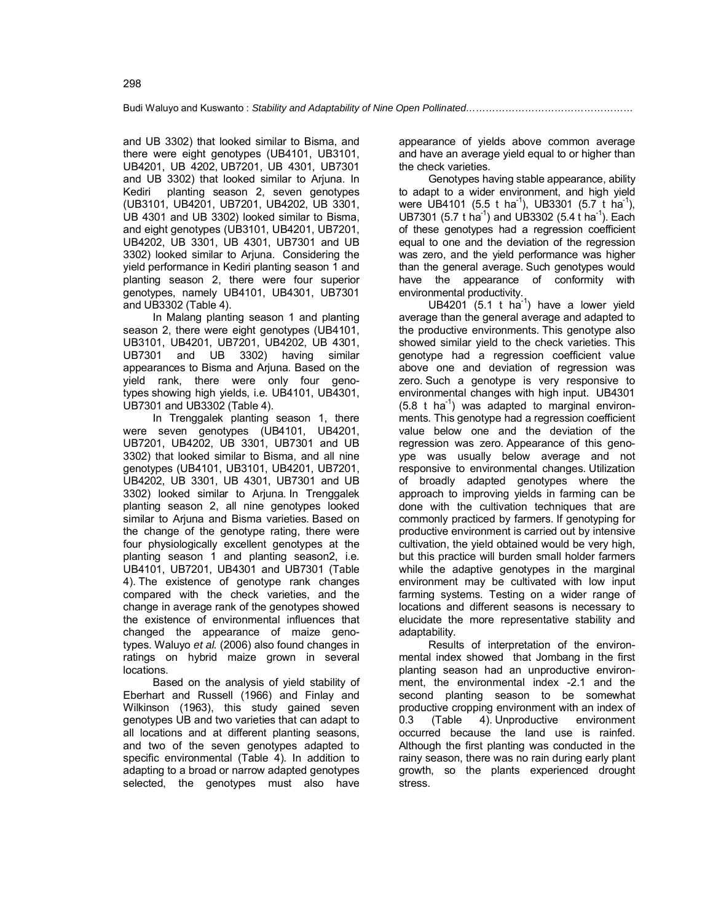and UB 3302) that looked similar to Bisma, and there were eight genotypes (UB4101, UB3101, UB4201, UB 4202, UB7201, UB 4301, UB7301 and UB 3302) that looked similar to Arjuna. In Kediri planting season 2, seven genotypes (UB3101, UB4201, UB7201, UB4202, UB 3301, UB 4301 and UB 3302) looked similar to Bisma, and eight genotypes (UB3101, UB4201, UB7201, UB4202, UB 3301, UB 4301, UB7301 and UB 3302) looked similar to Arjuna. Considering the yield performance in Kediri planting season 1 and planting season 2, there were four superior genotypes, namely UB4101, UB4301, UB7301 and UB3302 (Table 4).

In Malang planting season 1 and planting season 2, there were eight genotypes (UB4101, UB3101, UB4201, UB7201, UB4202, UB 4301, UB7301 and UB 3302) having similar appearances to Bisma and Arjuna. Based on the yield rank, there were only four genotypes showing high yields, i.e. UB4101, UB4301, UB7301 and UB3302 (Table 4).

In Trenggalek planting season 1, there were seven genotypes (UB4101, UB4201, UB7201, UB4202, UB 3301, UB7301 and UB 3302) that looked similar to Bisma, and all nine genotypes (UB4101, UB3101, UB4201, UB7201, UB4202, UB 3301, UB 4301, UB7301 and UB 3302) looked similar to Arjuna. In Trenggalek planting season 2, all nine genotypes looked similar to Arjuna and Bisma varieties. Based on the change of the genotype rating, there were four physiologically excellent genotypes at the planting season 1 and planting season2, i.e. UB4101, UB7201, UB4301 and UB7301 (Table 4). The existence of genotype rank changes compared with the check varieties, and the change in average rank of the genotypes showed the existence of environmental influences that changed the appearance of maize genotypes. Waluyo *et al.* (2006) also found changes in ratings on hybrid maize grown in several locations.

Based on the analysis of yield stability of Eberhart and Russell (1966) and Finlay and Wilkinson (1963), this study gained seven genotypes UB and two varieties that can adapt to all locations and at different planting seasons, and two of the seven genotypes adapted to specific environmental (Table 4). In addition to adapting to a broad or narrow adapted genotypes selected, the genotypes must also have

appearance of yields above common average and have an average yield equal to or higher than the check varieties.

Genotypes having stable appearance, ability to adapt to a wider environment, and high yield were UB4101 (5.5 t ha<sup>-1</sup>), UB3301 (5.7 t ha<sup>-1</sup>), UB7301 (5.7 t ha<sup>-1</sup>) and UB3302 (5.4 t ha<sup>-1</sup>). Each of these genotypes had a regression coefficient equal to one and the deviation of the regression was zero, and the yield performance was higher than the general average. Such genotypes would have the appearance of conformity with environmental productivity.

UB4201 (5.1 t ha<sup>-1</sup>) have a lower yield average than the general average and adapted to the productive environments. This genotype also showed similar yield to the check varieties. This genotype had a regression coefficient value above one and deviation of regression was zero. Such a genotype is very responsive to environmental changes with high input. UB4301  $(5.8 \t{t} \text{ha}^{-1})$  was adapted to marginal environments. This genotype had a regression coefficient value below one and the deviation of the regression was zero. Appearance of this genoype was usually below average and not responsive to environmental changes. Utilization of broadly adapted genotypes where the approach to improving yields in farming can be done with the cultivation techniques that are commonly practiced by farmers. If genotyping for productive environment is carried out by intensive cultivation, the yield obtained would be very high, but this practice will burden small holder farmers while the adaptive genotypes in the marginal environment may be cultivated with low input farming systems. Testing on a wider range of locations and different seasons is necessary to elucidate the more representative stability and adaptability.

Results of interpretation of the environmental index showed that Jombang in the first planting season had an unproductive environment, the environmental index -2.1 and the second planting season to be somewhat productive cropping environment with an index of<br>0.3 (Table 4). Unproductive environment 0.3 (Table 4). Unproductive environment occurred because the land use is rainfed. Although the first planting was conducted in the rainy season, there was no rain during early plant growth, so the plants experienced drought stress.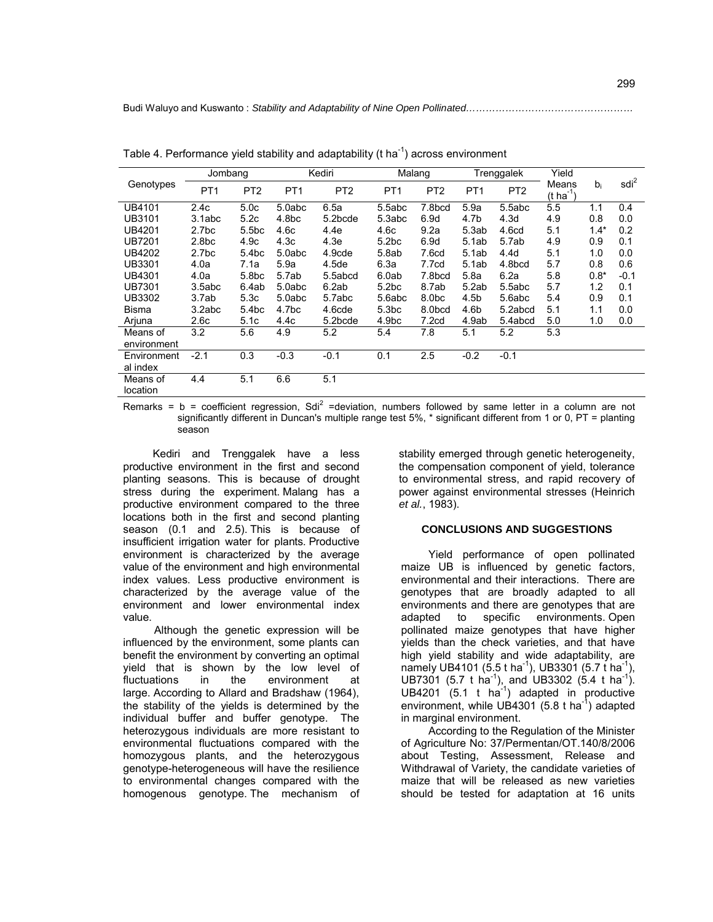| Genotypes            | Jombang           |                   | Kediri            |                 | Malang            |                   | Trenggalek       |                   | Yield                          |        |                  |
|----------------------|-------------------|-------------------|-------------------|-----------------|-------------------|-------------------|------------------|-------------------|--------------------------------|--------|------------------|
|                      | PT <sub>1</sub>   | PT <sub>2</sub>   | PT <sub>1</sub>   | PT <sub>2</sub> | PT <sub>1</sub>   | PT <sub>2</sub>   | PT <sub>1</sub>  | PT <sub>2</sub>   | Means<br>(t ha <sup>-1</sup> ) | bi     | sdi <sup>2</sup> |
| UB4101               | 2.4c              | 5.0 <sub>c</sub>  | 5.0abc            | 6.5a            | 5.5abc            | 7.8bcd            | 5.9a             | 5.5abc            | 5.5                            | 1.1    | 0.4              |
| UB3101               | 3.1abc            | 5.2c              | 4.8 <sub>bc</sub> | 5.2bcde         | 5.3abc            | 6.9d              | 4.7b             | 4.3 <sub>d</sub>  | 4.9                            | 0.8    | 0.0              |
| UB4201               | 2.7 <sub>bc</sub> | 5.5 <sub>bc</sub> | 4.6c              | 4.4e            | 4.6c              | 9.2a              | 5.3ab            | 4.6 <sub>cd</sub> | 5.1                            | $1.4*$ | 0.2              |
| <b>UB7201</b>        | 2.8 <sub>bc</sub> | 4.9c              | 4.3 <sub>c</sub>  | 4.3e            | 5.2 <sub>bc</sub> | 6.9d              | 5.1ab            | 5.7ab             | 4.9                            | 0.9    | 0.1              |
| UB4202               | 2.7 <sub>bc</sub> | 5.4 <sub>bc</sub> | 5.0abc            | 4.9cde          | 5.8ab             | 7.6cd             | 5.1ab            | 4.4 <sub>d</sub>  | 5.1                            | 1.0    | 0.0              |
| UB3301               | 4.0a              | 7.1a              | 5.9a              | 4.5de           | 6.3a              | 7.7cd             | 5.1ab            | 4.8bcd            | 5.7                            | 0.8    | 0.6              |
| UB4301               | 4.0a              | 5.8 <sub>bc</sub> | 5.7ab             | 5.5abcd         | 6.0ab             | 7.8bcd            | 5.8a             | 6.2a              | 5.8                            | $0.8*$ | $-0.1$           |
| UB7301               | 3.5abc            | 6.4ab             | 5.0abc            | 6.2ab           | 5.2 <sub>bc</sub> | 8.7ab             | 5.2ab            | 5.5abc            | 5.7                            | 1.2    | 0.1              |
| UB3302               | 3.7ab             | 5.3c              | 5.0abc            | 5.7abc          | 5.6abc            | 8.0 <sub>bc</sub> | 4.5 <sub>b</sub> | 5.6abc            | 5.4                            | 0.9    | 0.1              |
| Bisma                | 3.2abc            | 5.4bc             | 4.7bc             | 4.6cde          | 5.3 <sub>bc</sub> | 8.0bcd            | 4.6b             | 5.2abcd           | 5.1                            | 1.1    | 0.0              |
| Arjuna               | 2.6c              | 5.1c              | 4.4c              | 5.2bcde         | 4.9 <sub>bc</sub> | 7.2 <sub>cd</sub> | 4.9ab            | 5.4abcd           | 5.0                            | 1.0    | 0.0              |
| Means of             | 3.2               | 5.6               | 4.9               | 5.2             | 5.4               | 7.8               | 5.1              | 5.2               | 5.3                            |        |                  |
| environment          |                   |                   |                   |                 |                   |                   |                  |                   |                                |        |                  |
| Environment          | $-2.1$            | 0.3               | $-0.3$            | $-0.1$          | 0.1               | 2.5               | $-0.2$           | $-0.1$            |                                |        |                  |
| al index             |                   |                   |                   |                 |                   |                   |                  |                   |                                |        |                  |
| Means of<br>location | 4.4               | 5.1               | 6.6               | 5.1             |                   |                   |                  |                   |                                |        |                  |

Table 4. Performance yield stability and adaptability ( $t$  ha<sup>-1</sup>) across environment

Remarks =  $b$  = coefficient regression, Sdi<sup>2</sup> =deviation, numbers followed by same letter in a column are not significantly different in Duncan's multiple range test 5%, \* significant different from 1 or 0, PT = planting season

Kediri and Trenggalek have a less productive environment in the first and second planting seasons. This is because of drought stress during the experiment. Malang has a productive environment compared to the three locations both in the first and second planting season (0.1 and 2.5). This is because of insufficient irrigation water for plants. Productive environment is characterized by the average value of the environment and high environmental index values. Less productive environment is characterized by the average value of the environment and lower environmental index value.

Although the genetic expression will be influenced by the environment, some plants can benefit the environment by converting an optimal yield that is shown by the low level of fluctuations in the environment at large. According to Allard and Bradshaw (1964), the stability of the yields is determined by the individual buffer and buffer genotype. The heterozygous individuals are more resistant to environmental fluctuations compared with the homozygous plants, and the heterozygous genotype-heterogeneous will have the resilience to environmental changes compared with the homogenous genotype. The mechanism of stability emerged through genetic heterogeneity, the compensation component of yield, tolerance to environmental stress, and rapid recovery of power against environmental stresses (Heinrich *et al.*, 1983).

#### **CONCLUSIONS AND SUGGESTIONS**

Yield performance of open pollinated maize UB is influenced by genetic factors, environmental and their interactions. There are genotypes that are broadly adapted to all environments and there are genotypes that are adapted to specific environments. Open pollinated maize genotypes that have higher yields than the check varieties, and that have high yield stability and wide adaptability, are namely UB4101 (5.5 t ha<sup>-1</sup>), UB3301 (5.7 t ha<sup>-1</sup>), UB7301 (5.7 t ha<sup>-1</sup>), and UB3302 (5.4 t ha<sup>-1</sup>). UB4201  $(5.1 \text{ t} \text{ ha}^{-1})$  adapted in productive environment, while UB4301 (5.8 t ha<sup>-1</sup>) adapted in marginal environment.

According to the Regulation of the Minister of Agriculture No: 37/Permentan/OT.140/8/2006 about Testing, Assessment, Release and Withdrawal of Variety, the candidate varieties of maize that will be released as new varieties should be tested for adaptation at 16 units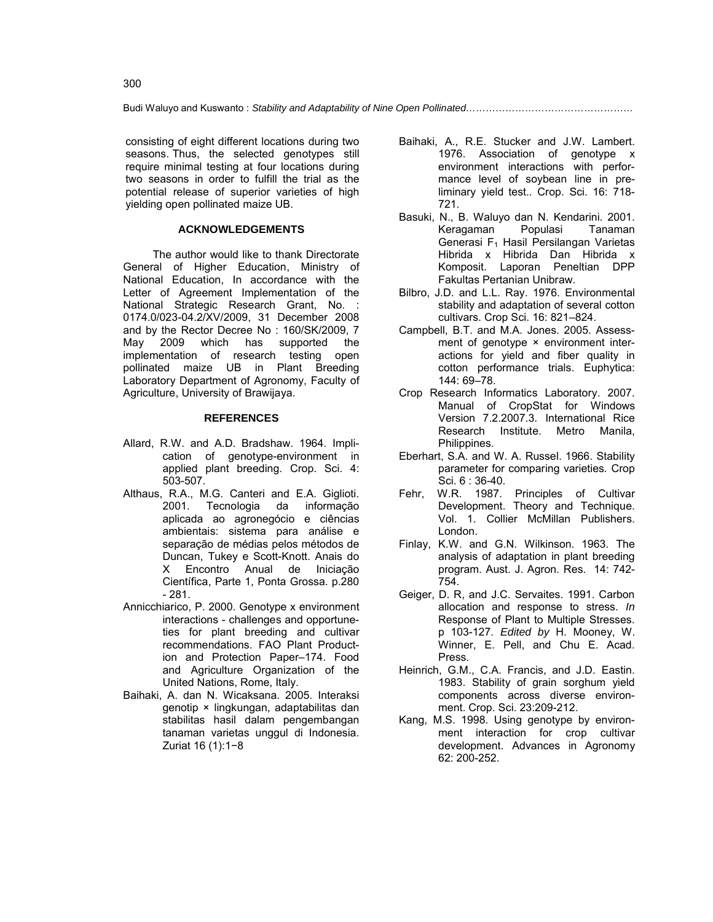consisting of eight different locations during two seasons. Thus, the selected genotypes still require minimal testing at four locations during two seasons in order to fulfill the trial as the potential release of superior varieties of high yielding open pollinated maize UB.

### **ACKNOWLEDGEMENTS**

The author would like to thank Directorate General of Higher Education, Ministry of National Education, In accordance with the Letter of Agreement Implementation of the National Strategic Research Grant, No. : 0174.0/023-04.2/XV/2009, 31 December 2008 and by the Rector Decree No : 160/SK/2009, 7 May 2009 which has supported the implementation of research testing open pollinated maize UB in Plant Breeding Laboratory Department of Agronomy, Faculty of Agriculture, University of Brawijaya.

#### **REFERENCES**

- Allard, R.W. and A.D. Bradshaw. 1964. Implication of genotype-environment in applied plant breeding. Crop. Sci. 4: 503-507.
- Althaus, R.A., M.G. Canteri and E.A. Giglioti. 2001. Tecnologia da informação aplicada ao agronegócio e ciências ambientais: sistema para análise e separação de médias pelos métodos de Duncan, Tukey e Scott-Knott. Anais do X Encontro Anual de Iniciação Científica, Parte 1, Ponta Grossa. p.280 - 281.
- Annicchiarico, P. 2000. Genotype x environment interactions - challenges and opportuneties for plant breeding and cultivar recommendations. FAO Plant Production and Protection Paper–174. Food and Agriculture Organization of the United Nations, Rome, Italy.
- Baihaki, A. dan N. Wicaksana. 2005. Interaksi genotip × lingkungan, adaptabilitas dan stabilitas hasil dalam pengembangan tanaman varietas unggul di Indonesia. Zuriat 16 (1):1−8
- Baihaki, A., R.E. Stucker and J.W. Lambert. 1976. Association of genotype x environment interactions with performance level of soybean line in preliminary yield test.. Crop. Sci. 16: 718- 721.
- Basuki, N., B. Waluyo dan N. Kendarini. 2001. Keragaman Populasi Tanaman Generasi  $F_1$  Hasil Persilangan Varietas Hibrida x Hibrida Dan Hibrida x Komposit. Laporan Peneltian DPP Fakultas Pertanian Unibraw.
- Bilbro, J.D. and L.L. Ray. 1976. Environmental stability and adaptation of several cotton cultivars. Crop Sci. 16: 821–824.
- Campbell, B.T. and M.A. Jones. 2005. Assessment of genotype × environment interactions for yield and fiber quality in cotton performance trials. Euphytica: 144: 69–78.
- Crop Research Informatics Laboratory. 2007. Manual of CropStat for Windows Version 7.2.2007.3. International Rice Research Institute. Metro Manila, Philippines.
- Eberhart, S.A. and W. A. Russel. 1966. Stability parameter for comparing varieties*.* Crop Sci. 6 : 36-40.
- Fehr, W.R. 1987. Principles of Cultivar Development. Theory and Technique. Vol. 1. Collier McMillan Publishers. London.
- Finlay, K.W. and G.N. Wilkinson. 1963. The analysis of adaptation in plant breeding program. Aust. J. Agron. Res. 14: 742- 754.
- Geiger, D. R, and J.C. Servaites. 1991. Carbon allocation and response to stress. *In* Response of Plant to Multiple Stresses. p 103-127. *Edited by* H. Mooney, W. Winner, E. Pell, and Chu E. Acad. Press.
- Heinrich, G.M., C.A. Francis, and J.D. Eastin. 1983. Stability of grain sorghum yield components across diverse environment. Crop. Sci. 23:209-212.
- Kang, M.S. 1998. Using genotype by environment interaction for crop cultivar development. Advances in Agronomy 62: 200-252.